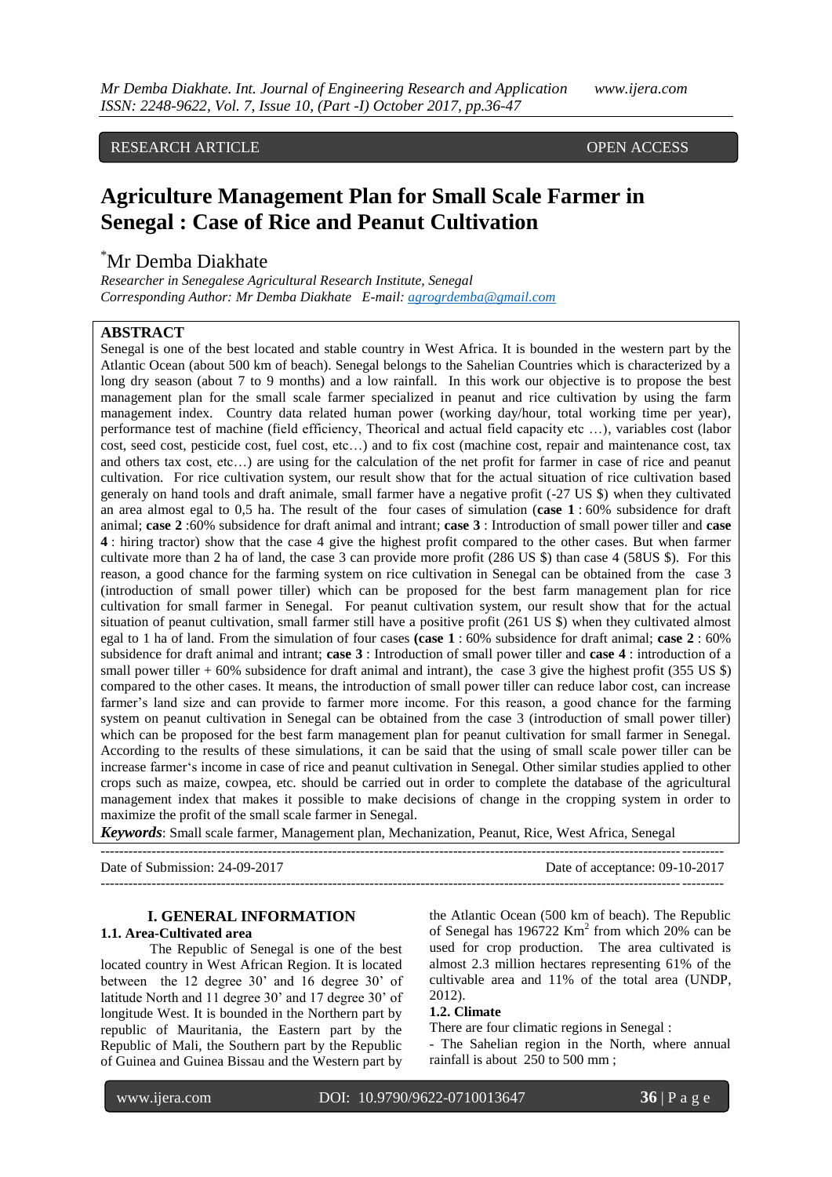RESEARCH ARTICLE **CONTRACT ARTICLE** AND **SEXUAL ARTICLE** AND **OPEN ACCESS** 

# **Agriculture Management Plan for Small Scale Farmer in Senegal : Case of Rice and Peanut Cultivation**

# \*Mr Demba Diakhate

*Researcher in Senegalese Agricultural Research Institute, Senegal Corresponding Author: Mr Demba Diakhate E-mail: [agrogrdemba@gmail.com](mailto:agrogrdemba@gmail.com)*

## **ABSTRACT**

Senegal is one of the best located and stable country in West Africa. It is bounded in the western part by the Atlantic Ocean (about 500 km of beach). Senegal belongs to the Sahelian Countries which is characterized by a long dry season (about 7 to 9 months) and a low rainfall. In this work our objective is to propose the best management plan for the small scale farmer specialized in peanut and rice cultivation by using the farm management index. Country data related human power (working day/hour, total working time per year), performance test of machine (field efficiency, Theorical and actual field capacity etc …), variables cost (labor cost, seed cost, pesticide cost, fuel cost, etc…) and to fix cost (machine cost, repair and maintenance cost, tax and others tax cost, etc…) are using for the calculation of the net profit for farmer in case of rice and peanut cultivation. For rice cultivation system, our result show that for the actual situation of rice cultivation based generaly on hand tools and draft animale, small farmer have a negative profit (-27 US \$) when they cultivated an area almost egal to 0,5 ha. The result of the four cases of simulation (**case 1** : 60% subsidence for draft animal; **case 2** :60% subsidence for draft animal and intrant; **case 3** : Introduction of small power tiller and **case 4** : hiring tractor) show that the case 4 give the highest profit compared to the other cases. But when farmer cultivate more than 2 ha of land, the case 3 can provide more profit (286 US \$) than case 4 (58US \$). For this reason, a good chance for the farming system on rice cultivation in Senegal can be obtained from the case 3 (introduction of small power tiller) which can be proposed for the best farm management plan for rice cultivation for small farmer in Senegal. For peanut cultivation system, our result show that for the actual situation of peanut cultivation, small farmer still have a positive profit (261 US \$) when they cultivated almost egal to 1 ha of land. From the simulation of four cases **(case 1** : 60% subsidence for draft animal; **case 2** : 60% subsidence for draft animal and intrant; **case 3** : Introduction of small power tiller and **case 4** : introduction of a small power tiller  $+ 60\%$  subsidence for draft animal and intrant), the case 3 give the highest profit (355 US \$) compared to the other cases. It means, the introduction of small power tiller can reduce labor cost, can increase farmer"s land size and can provide to farmer more income. For this reason, a good chance for the farming system on peanut cultivation in Senegal can be obtained from the case 3 (introduction of small power tiller) which can be proposed for the best farm management plan for peanut cultivation for small farmer in Senegal. According to the results of these simulations, it can be said that the using of small scale power tiller can be increase farmer"s income in case of rice and peanut cultivation in Senegal. Other similar studies applied to other crops such as maize, cowpea, etc. should be carried out in order to complete the database of the agricultural management index that makes it possible to make decisions of change in the cropping system in order to maximize the profit of the small scale farmer in Senegal.

*Keywords*: Small scale farmer, Management plan, Mechanization, Peanut, Rice, West Africa, Senegal

Date of Submission: 24-09-2017 Date of acceptance: 09-10-2017

--------------------------------------------------------------------------------------------------------------------------------------

--------------------------------------------------------------------------------------------------------------------------------------

#### **I. GENERAL INFORMATION 1.1. Area-Cultivated area**

The Republic of Senegal is one of the best located country in West African Region. It is located between the 12 degree 30' and 16 degree 30' of latitude North and 11 degree 30' and 17 degree 30' of longitude West. It is bounded in the Northern part by republic of Mauritania, the Eastern part by the Republic of Mali, the Southern part by the Republic

of Guinea and Guinea Bissau and the Western part by

the Atlantic Ocean (500 km of beach). The Republic of Senegal has  $196722$  Km<sup>2</sup> from which 20% can be used for crop production. The area cultivated is almost 2.3 million hectares representing 61% of the cultivable area and 11% of the total area (UNDP, 2012).

#### **1.2. Climate**

There are four climatic regions in Senegal :

- The Sahelian region in the North, where annual rainfall is about 250 to 500 mm ;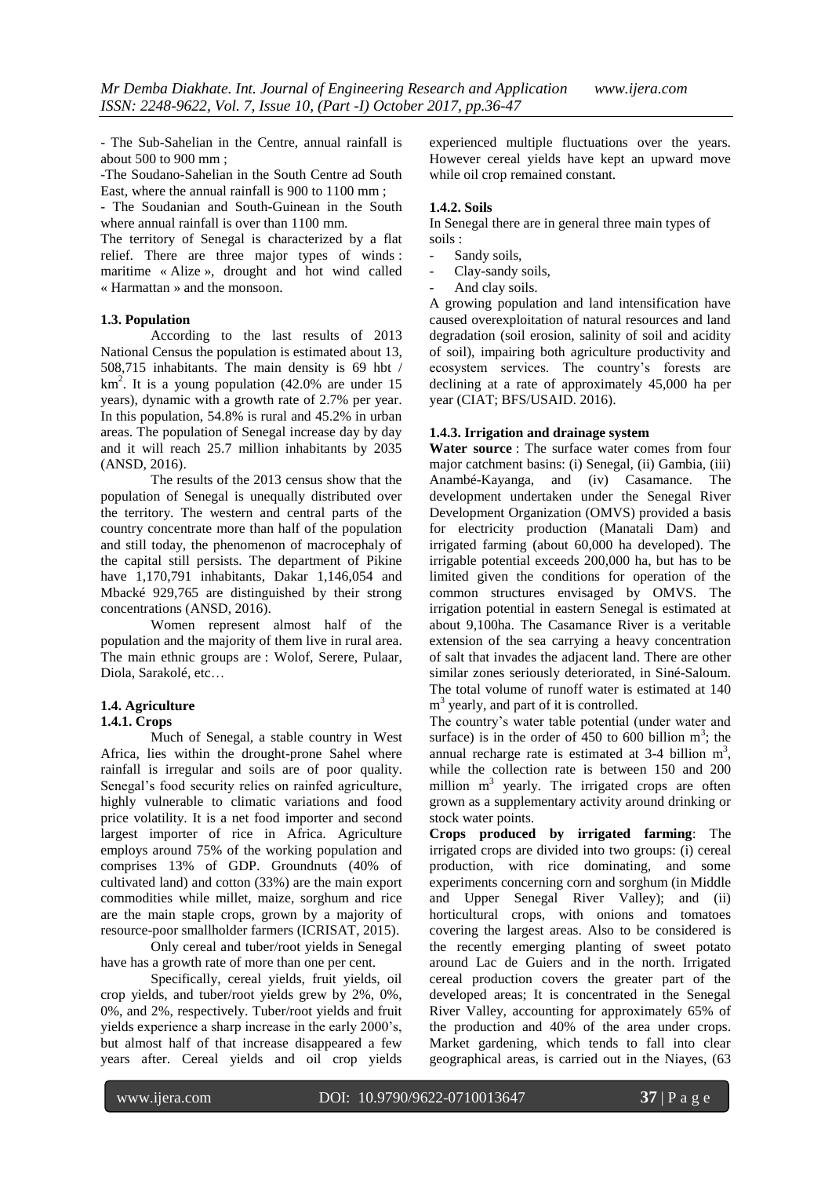- The Sub-Sahelian in the Centre, annual rainfall is about 500 to 900 mm ;

-The Soudano-Sahelian in the South Centre ad South East, where the annual rainfall is 900 to 1100 mm ;

- The Soudanian and South-Guinean in the South where annual rainfall is over than 1100 mm.

The territory of Senegal is characterized by a flat relief. There are three major types of winds : maritime « Alize », drought and hot wind called « Harmattan » and the monsoon.

### **1.3. Population**

According to the last results of 2013 National Census the population is estimated about 13, 508,715 inhabitants. The main density is 69 hbt / km<sup>2</sup> . It is a young population (42.0% are under 15 years), dynamic with a growth rate of 2.7% per year. In this population, 54.8% is rural and 45.2% in urban areas. The population of Senegal increase day by day and it will reach 25.7 million inhabitants by 2035 (ANSD, 2016).

The results of the 2013 census show that the population of Senegal is unequally distributed over the territory. The western and central parts of the country concentrate more than half of the population and still today, the phenomenon of macrocephaly of the capital still persists. The department of Pikine have 1,170,791 inhabitants, Dakar 1,146,054 and Mbacké 929,765 are distinguished by their strong concentrations (ANSD, 2016).

Women represent almost half of the population and the majority of them live in rural area. The main ethnic groups are : Wolof, Serere, Pulaar, Diola, Sarakolé, etc…

#### **1.4. Agriculture 1.4.1. Crops**

Much of Senegal, a stable country in West Africa, lies within the drought-prone Sahel where rainfall is irregular and soils are of poor quality. Senegal's food security relies on rainfed agriculture, highly vulnerable to climatic variations and food price volatility. It is a net food importer and second largest importer of rice in Africa. Agriculture employs around 75% of the working population and comprises 13% of GDP. Groundnuts (40% of cultivated land) and cotton (33%) are the main export commodities while millet, maize, sorghum and rice are the main staple crops, grown by a majority of resource-poor smallholder farmers (ICRISAT, 2015).

Only cereal and tuber/root yields in Senegal have has a growth rate of more than one per cent.

Specifically, cereal yields, fruit yields, oil crop yields, and tuber/root yields grew by 2%, 0%, 0%, and 2%, respectively. Tuber/root yields and fruit yields experience a sharp increase in the early 2000"s, but almost half of that increase disappeared a few years after. Cereal yields and oil crop yields

experienced multiple fluctuations over the years. However cereal yields have kept an upward move while oil crop remained constant.

### **1.4.2. Soils**

In Senegal there are in general three main types of soils :

- Sandy soils.
- Clay-sandy soils,
- And clay soils.

A growing population and land intensification have caused overexploitation of natural resources and land degradation (soil erosion, salinity of soil and acidity of soil), impairing both agriculture productivity and ecosystem services. The country"s forests are declining at a rate of approximately 45,000 ha per year (CIAT; BFS/USAID. 2016).

#### **1.4.3. Irrigation and drainage system**

**Water source** : The surface water comes from four major catchment basins: (i) Senegal, (ii) Gambia, (iii) Anambé-Kayanga, and (iv) Casamance. The development undertaken under the Senegal River Development Organization (OMVS) provided a basis for electricity production (Manatali Dam) and irrigated farming (about 60,000 ha developed). The irrigable potential exceeds 200,000 ha, but has to be limited given the conditions for operation of the common structures envisaged by OMVS. The irrigation potential in eastern Senegal is estimated at about 9,100ha. The Casamance River is a veritable extension of the sea carrying a heavy concentration of salt that invades the adjacent land. There are other similar zones seriously deteriorated, in Siné-Saloum. The total volume of runoff water is estimated at 140 m<sup>3</sup> yearly, and part of it is controlled.

The country"s water table potential (under water and surface) is in the order of  $\overline{450}$  to 600 billion m<sup>3</sup>; the annual recharge rate is estimated at  $3-4$  billion m<sup>3</sup>, while the collection rate is between 150 and 200 million  $m<sup>3</sup>$  yearly. The irrigated crops are often grown as a supplementary activity around drinking or stock water points.

**Crops produced by irrigated farming**: The irrigated crops are divided into two groups: (i) cereal production, with rice dominating, and some experiments concerning corn and sorghum (in Middle and Upper Senegal River Valley); and (ii) horticultural crops, with onions and tomatoes covering the largest areas. Also to be considered is the recently emerging planting of sweet potato around Lac de Guiers and in the north. Irrigated cereal production covers the greater part of the developed areas; It is concentrated in the Senegal River Valley, accounting for approximately 65% of the production and 40% of the area under crops. Market gardening, which tends to fall into clear geographical areas, is carried out in the Niayes, (63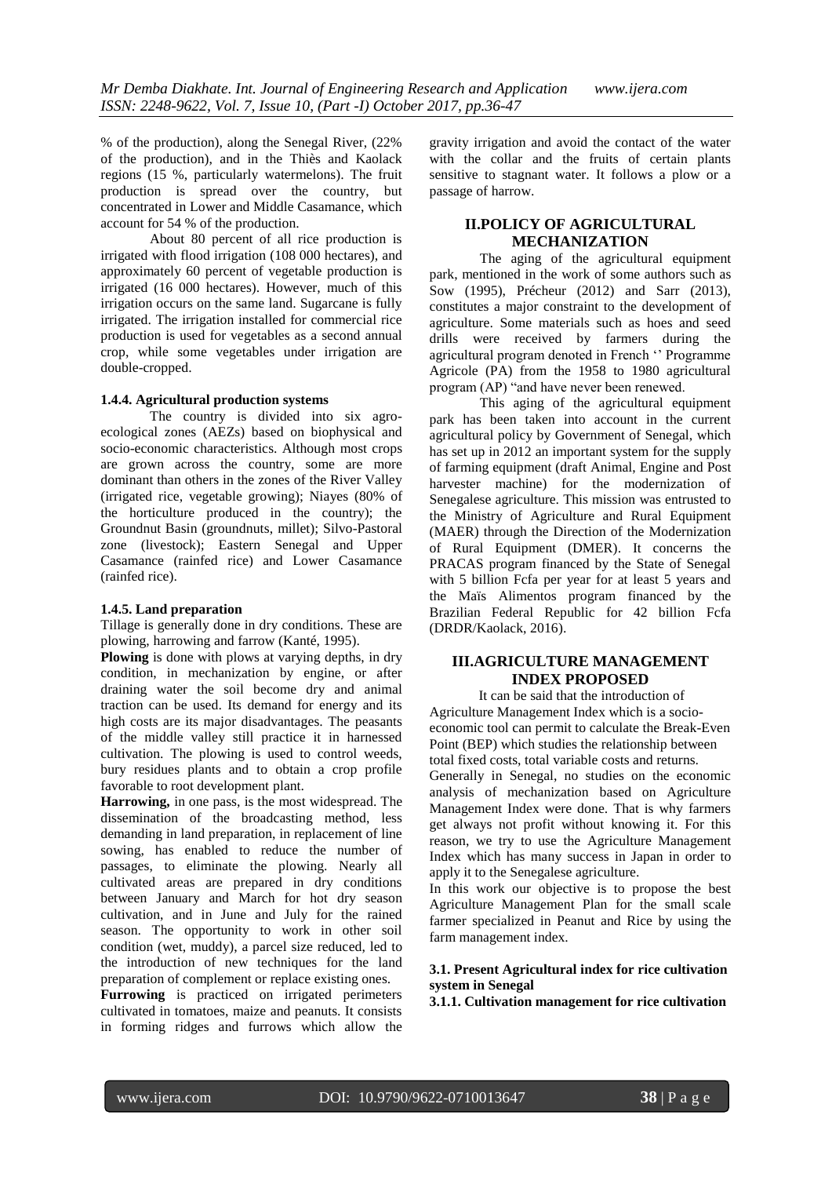% of the production), along the Senegal River, (22% of the production), and in the Thiès and Kaolack regions (15 %, particularly watermelons). The fruit production is spread over the country, but concentrated in Lower and Middle Casamance, which account for 54 % of the production.

About 80 percent of all rice production is irrigated with flood irrigation (108 000 hectares), and approximately 60 percent of vegetable production is irrigated (16 000 hectares). However, much of this irrigation occurs on the same land. Sugarcane is fully irrigated. The irrigation installed for commercial rice production is used for vegetables as a second annual crop, while some vegetables under irrigation are double-cropped.

#### **1.4.4. Agricultural production systems**

The country is divided into six agroecological zones (AEZs) based on biophysical and socio-economic characteristics. Although most crops are grown across the country, some are more dominant than others in the zones of the River Valley (irrigated rice, vegetable growing); Niayes (80% of the horticulture produced in the country); the Groundnut Basin (groundnuts, millet); Silvo-Pastoral zone (livestock); Eastern Senegal and Upper Casamance (rainfed rice) and Lower Casamance (rainfed rice).

### **1.4.5. Land preparation**

Tillage is generally done in dry conditions. These are plowing, harrowing and farrow (Kanté, 1995).

**Plowing** is done with plows at varying depths, in dry condition, in mechanization by engine, or after draining water the soil become dry and animal traction can be used. Its demand for energy and its high costs are its major disadvantages. The peasants of the middle valley still practice it in harnessed cultivation. The plowing is used to control weeds, bury residues plants and to obtain a crop profile favorable to root development plant.

**Harrowing,** in one pass, is the most widespread. The dissemination of the broadcasting method, less demanding in land preparation, in replacement of line sowing, has enabled to reduce the number of passages, to eliminate the plowing. Nearly all cultivated areas are prepared in dry conditions between January and March for hot dry season cultivation, and in June and July for the rained season. The opportunity to work in other soil condition (wet, muddy), a parcel size reduced, led to the introduction of new techniques for the land preparation of complement or replace existing ones.

**Furrowing** is practiced on irrigated perimeters cultivated in tomatoes, maize and peanuts. It consists in forming ridges and furrows which allow the gravity irrigation and avoid the contact of the water with the collar and the fruits of certain plants sensitive to stagnant water. It follows a plow or a passage of harrow.

## **II.POLICY OF AGRICULTURAL MECHANIZATION**

The aging of the agricultural equipment park, mentioned in the work of some authors such as Sow (1995), Précheur (2012) and Sarr (2013), constitutes a major constraint to the development of agriculture. Some materials such as hoes and seed drills were received by farmers during the agricultural program denoted in French " Programme Agricole (PA) from the 1958 to 1980 agricultural program (AP) "and have never been renewed.

This aging of the agricultural equipment park has been taken into account in the current agricultural policy by Government of Senegal, which has set up in 2012 an important system for the supply of farming equipment (draft Animal, Engine and Post harvester machine) for the modernization of Senegalese agriculture. This mission was entrusted to the Ministry of Agriculture and Rural Equipment (MAER) through the Direction of the Modernization of Rural Equipment (DMER). It concerns the PRACAS program financed by the State of Senegal with 5 billion Fcfa per year for at least 5 years and the Maïs Alimentos program financed by the Brazilian Federal Republic for 42 billion Fcfa (DRDR/Kaolack, 2016).

## **III.AGRICULTURE MANAGEMENT INDEX PROPOSED**

It can be said that the introduction of Agriculture Management Index which is a socioeconomic tool can permit to calculate the Break-Even Point (BEP) which studies the relationship between total fixed costs, total variable costs and returns. Generally in Senegal, no studies on the economic analysis of mechanization based on Agriculture Management Index were done. That is why farmers get always not profit without knowing it. For this reason, we try to use the Agriculture Management Index which has many success in Japan in order to apply it to the Senegalese agriculture.

In this work our objective is to propose the best Agriculture Management Plan for the small scale farmer specialized in Peanut and Rice by using the farm management index.

## **3.1. Present Agricultural index for rice cultivation system in Senegal**

**3.1.1. Cultivation management for rice cultivation**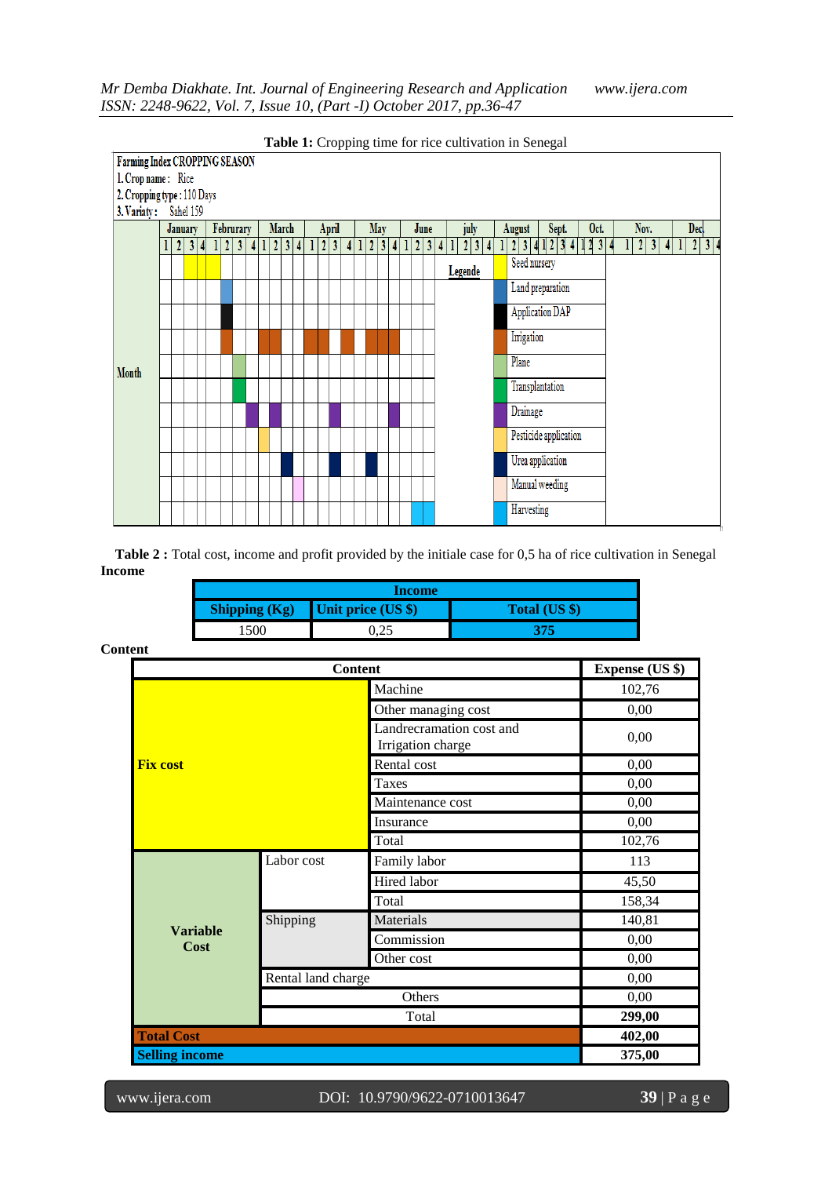

**Table 2 :** Total cost, income and profit provided by the initiale case for 0,5 ha of rice cultivation in Senegal **Income**

| Income               |                    |               |  |  |
|----------------------|--------------------|---------------|--|--|
| <b>Shipping (Kg)</b> | Unit price (US \$) | Total (US \$) |  |  |
| 500                  | 0.Z.               | 375           |  |  |

| <b>Content</b>          |                    |                                               | <b>Expense (US \$)</b> |
|-------------------------|--------------------|-----------------------------------------------|------------------------|
|                         |                    | Machine                                       | 102,76                 |
|                         |                    | Other managing cost                           | 0,00                   |
|                         |                    | Landrecramation cost and<br>Irrigation charge | 0,00                   |
| <b>Fix cost</b>         |                    | Rental cost                                   | 0,00                   |
|                         |                    | <b>Taxes</b>                                  | 0,00                   |
|                         |                    | Maintenance cost                              | 0,00                   |
|                         |                    | Insurance                                     | 0,00                   |
|                         |                    | Total                                         | 102,76                 |
|                         | Labor cost         | Family labor                                  | 113                    |
|                         |                    | Hired labor                                   | 45,50                  |
|                         |                    | Total                                         | 158,34                 |
|                         | Shipping           | Materials                                     | 140,81                 |
| <b>Variable</b><br>Cost |                    | Commission                                    | 0,00                   |
|                         |                    | Other cost                                    | 0,00                   |
|                         | Rental land charge |                                               | 0,00                   |
|                         |                    | Others                                        | 0,00                   |
|                         |                    | Total                                         | 299,00                 |
| <b>Total Cost</b>       |                    |                                               | 402,00                 |
| <b>Selling income</b>   |                    |                                               | 375,00                 |

**Content**

www.ijera.com DOI: 10.9790/9622-0710013647 **39** | P a g e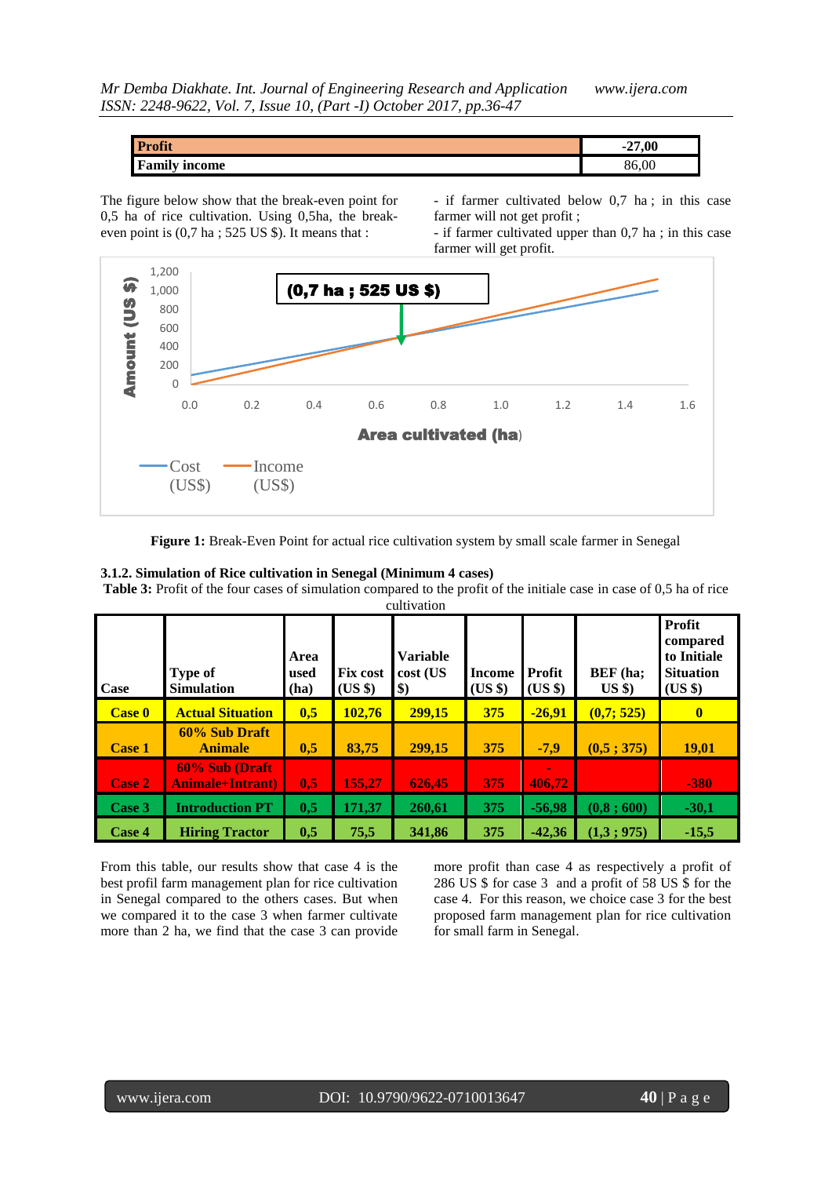| <b>Profit</b>        | -27.00 |
|----------------------|--------|
| <b>Family income</b> | 86,00  |

The figure below show that the break-even point for 0,5 ha of rice cultivation. Using 0,5ha, the breakeven point is (0,7 ha ; 525 US \$). It means that :

- if farmer cultivated below 0,7 ha ; in this case farmer will not get profit ;

- if farmer cultivated upper than 0,7 ha ; in this case farmer will get profit.



**Figure 1:** Break-Even Point for actual rice cultivation system by small scale farmer in Senegal

#### **3.1.2. Simulation of Rice cultivation in Senegal (Minimum 4 cases)**

**Table 3:** Profit of the four cases of simulation compared to the profit of the initiale case in case of 0,5 ha of rice cultivation

| <b>Case</b>   | <b>Type of</b><br><b>Simulation</b>      | Area<br>used<br>(ha) | <b>Fix cost</b><br>(US \$) | <b>Variable</b><br>cost (US<br>$\boldsymbol{\$}$ | <b>Income</b><br>(US \$) | <b>Profit</b><br>$(US \$ | BEF (ha;<br>$US$ \$) | Profit<br>compared<br>to Initiale<br><b>Situation</b><br>(US \$) |
|---------------|------------------------------------------|----------------------|----------------------------|--------------------------------------------------|--------------------------|--------------------------|----------------------|------------------------------------------------------------------|
| <b>Case 0</b> | <b>Actual Situation</b>                  | 0,5                  | 102,76                     | 299,15                                           | 375                      | $-26,91$                 | (0,7;525)            | $\mathbf{0}$                                                     |
| <b>Case 1</b> | 60% Sub Draft<br><b>Animale</b>          | 0,5                  | 83,75                      | 299,15                                           | 375                      | $-7,9$                   | (0,5; 375)           | <b>19,01</b>                                                     |
| Case 2        | 60% Sub (Draft<br><b>Animale+Intrant</b> | 0,5                  | 155,27                     | 626,45                                           | 375                      | 406.72                   |                      | $-380$                                                           |
| Case 3        | <b>Introduction PT</b>                   | 0,5                  | 171,37                     | 260,61                                           | 375                      | $-56,98$                 | (0, 8; 600)          | $-30,1$                                                          |
| Case 4        | <b>Hiring Tractor</b>                    | 0,5                  | 75,5                       | 341,86                                           | 375                      | $-42,36$                 | (1,3;975)            | $-15,5$                                                          |

From this table, our results show that case 4 is the best profil farm management plan for rice cultivation in Senegal compared to the others cases. But when we compared it to the case 3 when farmer cultivate more than 2 ha, we find that the case 3 can provide

more profit than case 4 as respectively a profit of 286 US \$ for case 3 and a profit of 58 US \$ for the case 4. For this reason, we choice case 3 for the best proposed farm management plan for rice cultivation for small farm in Senegal.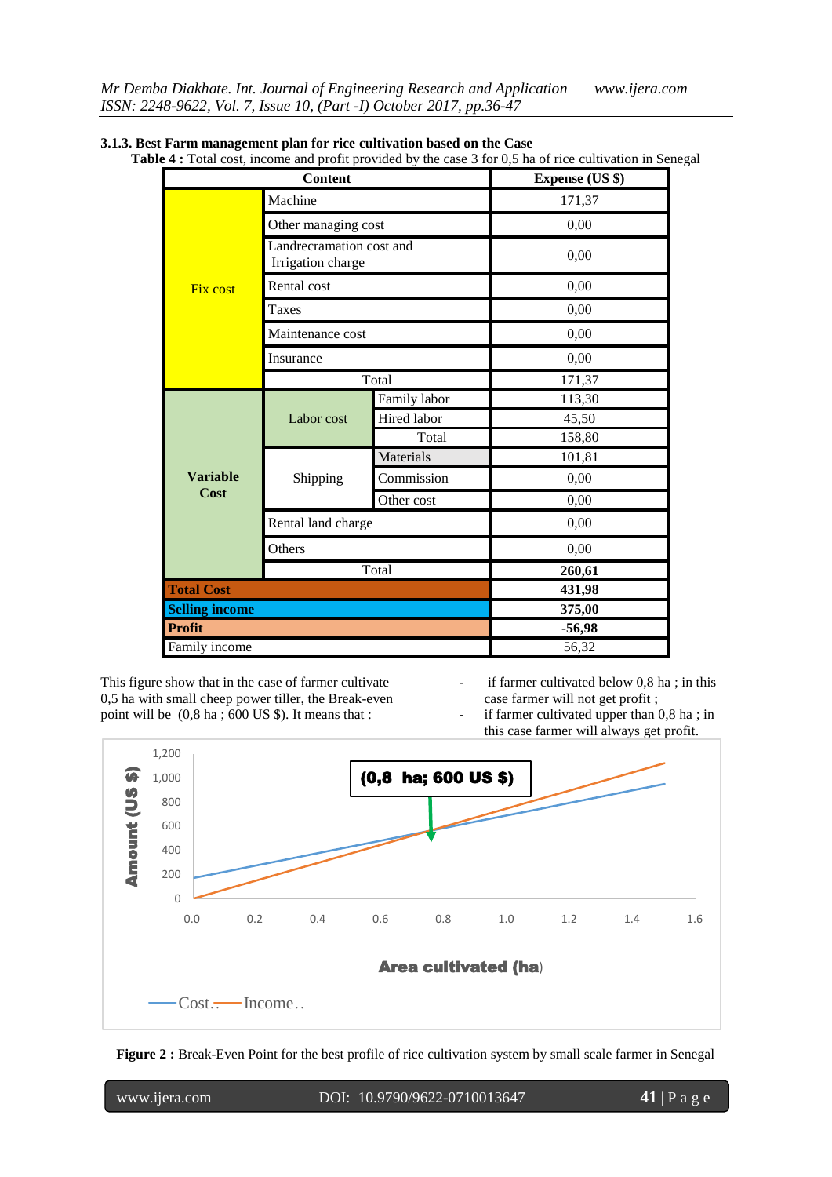| <b>Content</b>        |                                               |              | <b>Expense (US \$)</b> |
|-----------------------|-----------------------------------------------|--------------|------------------------|
|                       | Machine                                       |              | 171,37                 |
|                       | Other managing cost                           |              | 0,00                   |
|                       | Landrecramation cost and<br>Irrigation charge |              | 0,00                   |
| <b>Fix cost</b>       | Rental cost                                   |              | 0,00                   |
|                       | Taxes                                         |              | 0,00                   |
|                       | Maintenance cost                              |              | 0,00                   |
|                       | Insurance                                     |              | 0,00                   |
|                       |                                               | Total        | 171,37                 |
|                       | Labor cost                                    | Family labor | 113,30                 |
|                       |                                               | Hired labor  | 45,50                  |
|                       |                                               | Total        | 158,80                 |
|                       |                                               | Materials    | 101,81                 |
| <b>Variable</b>       | Shipping                                      | Commission   | 0,00                   |
| Cost                  |                                               | Other cost   | 0,00                   |
|                       | Rental land charge                            |              | 0,00                   |
|                       | Others                                        |              | 0,00                   |
|                       |                                               | Total        | 260,61                 |
| <b>Total Cost</b>     |                                               |              | 431,98                 |
| <b>Selling income</b> |                                               |              | 375,00                 |
| <b>Profit</b>         |                                               |              | $-56,98$               |
| Family income         |                                               |              | 56,32                  |

|  | 3.1.3. Best Farm management plan for rice cultivation based on the Case |  |
|--|-------------------------------------------------------------------------|--|
|  |                                                                         |  |

**Table 4 :** Total cost, income and profit provided by the case 3 for 0,5 ha of rice cultivation in Senegal

This figure show that in the case of farmer cultivate 0,5 ha with small cheep power tiller, the Break-even point will be (0,8 ha ; 600 US \$). It means that :

if farmer cultivated below  $0.8$  ha; in this case farmer will not get profit ;

if farmer cultivated upper than  $0,8$  ha; in this case farmer will always get profit.



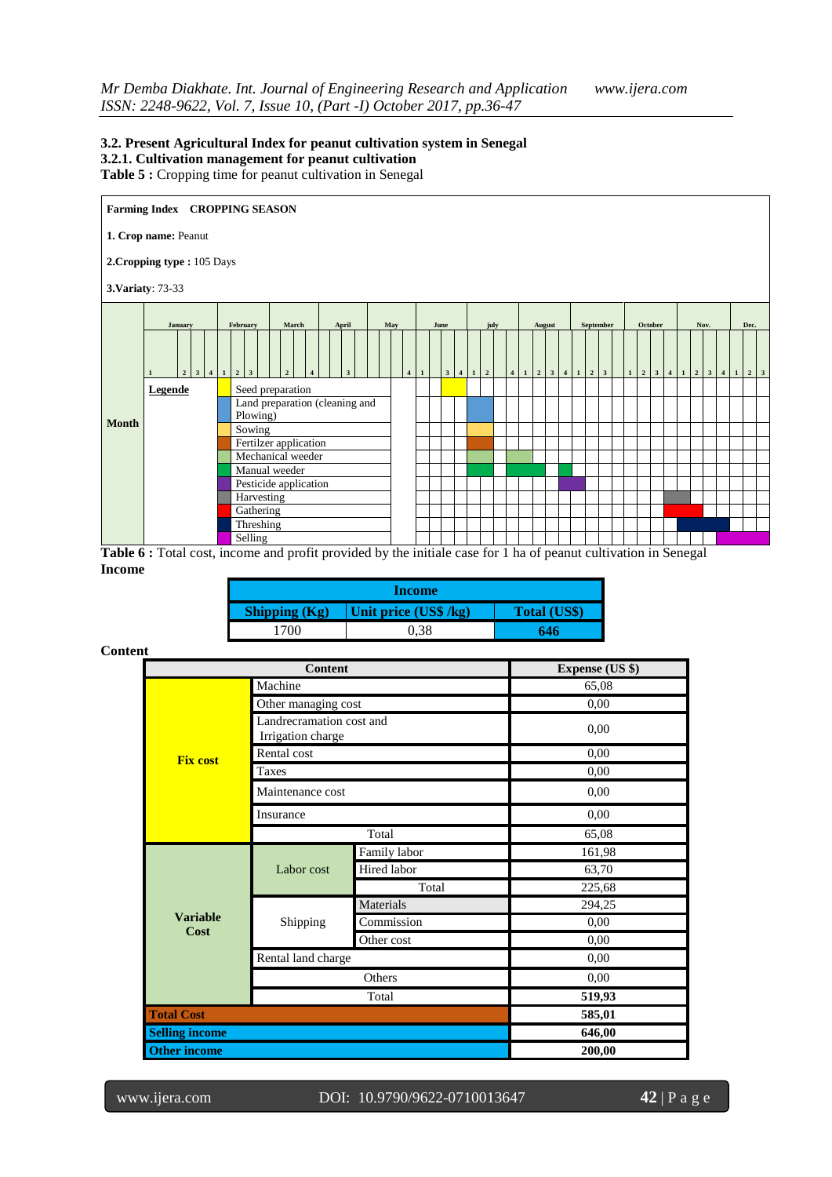#### **3.2. Present Agricultural Index for peanut cultivation system in Senegal 3.2.1. Cultivation management for peanut cultivation Table 5 :** Cropping time for peanut cultivation in Senegal



**Table 6 :** Total cost, income and profit provided by the initiale case for 1 ha of peanut cultivation in Senegal **Income**

| Income                                                          |      |     |  |  |  |
|-----------------------------------------------------------------|------|-----|--|--|--|
| Unit price (US\$ /kg)<br>Shipping $(Kg)$<br><b>Total (US\$)</b> |      |     |  |  |  |
| 1700                                                            | 0.38 | 646 |  |  |  |

## **Content**

|                         | <b>Content</b>                                | <b>Expense (US \$)</b> |        |
|-------------------------|-----------------------------------------------|------------------------|--------|
|                         | Machine                                       |                        | 65,08  |
|                         | Other managing cost                           |                        | 0,00   |
|                         | Landrecramation cost and<br>Irrigation charge |                        | 0,00   |
| <b>Fix cost</b>         | Rental cost                                   |                        | 0,00   |
|                         | Taxes                                         |                        | 0,00   |
|                         | Maintenance cost                              |                        | 0,00   |
|                         | Insurance                                     |                        | 0,00   |
|                         |                                               | Total                  | 65,08  |
|                         | Labor cost                                    | Family labor           | 161,98 |
|                         |                                               | Hired labor            | 63,70  |
|                         |                                               | Total                  | 225,68 |
|                         |                                               | Materials              | 294,25 |
| <b>Variable</b><br>Cost | Shipping                                      | Commission             | 0,00   |
|                         |                                               | Other cost             | 0,00   |
|                         | Rental land charge                            |                        | 0.00   |
|                         |                                               | Others                 | 0,00   |
|                         |                                               | Total                  | 519,93 |
| <b>Total Cost</b>       |                                               |                        | 585,01 |
| <b>Selling income</b>   |                                               |                        | 646,00 |
| <b>Other income</b>     |                                               |                        | 200,00 |

www.ijera.com DOI: 10.9790/9622-0710013647 **42** | P a g e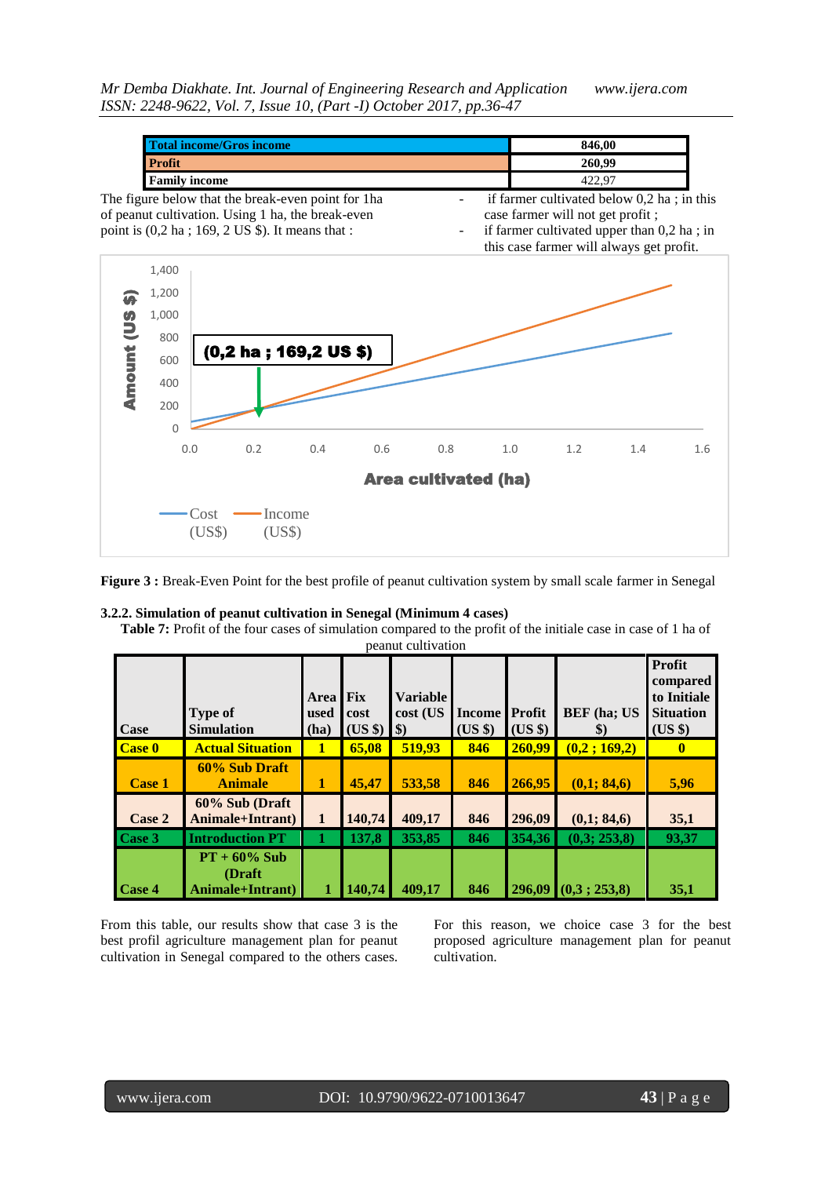| Total income/Gros income                                               | 846,00                                       |  |
|------------------------------------------------------------------------|----------------------------------------------|--|
| <b>Profit</b>                                                          | 260.99                                       |  |
| <b>Family income</b>                                                   | 422.97                                       |  |
| The figure below that the break-even point for 1 has                   | if farmer cultivated below $0,2$ ha; in this |  |
| of peanut cultivation. Using 1 ha, the break-even                      | case farmer will not get profit;             |  |
| point is $(0, 2 \text{ ha } ; 169, 2 \text{ US }$ \$). It means that : | if farmer cultivated upper than $0,2$ ha; in |  |



**Figure 3 :** Break-Even Point for the best profile of peanut cultivation system by small scale farmer in Senegal

# **3.2.2. Simulation of peanut cultivation in Senegal (Minimum 4 cases)**

**Table 7:** Profit of the four cases of simulation compared to the profit of the initiale case in case of 1 ha of peanut cultivation

| Case                               | <b>Type of</b><br><b>Simulation</b>            | Area<br>used<br>(ha) | <b>Fix</b><br>cost<br>(US \$) | <b>Variable</b><br>cost (US<br>$\boldsymbol{\$})$ | <b>Income</b><br>(US \$) | Profit<br>$(US \$ | <b>BEF</b> (ha; US<br>$\$\$ | Profit<br>compared<br>to Initiale<br><b>Situation</b><br>(US \$) |
|------------------------------------|------------------------------------------------|----------------------|-------------------------------|---------------------------------------------------|--------------------------|-------------------|-----------------------------|------------------------------------------------------------------|
| Case 0                             | <b>Actual Situation</b>                        | 1                    | 65,08                         | 519,93                                            | 846                      | 260,99            | (0,2;169,2)                 | 0                                                                |
| <b>Case 1</b>                      | 60% Sub Draft<br><b>Animale</b>                | 1                    | 45,47                         | 533,58                                            | 846                      | 266,95            | (0,1; 84,6)                 | 5,96                                                             |
| Case 2                             | 60% Sub (Draft<br>Animale+Intrant)             | $\mathbf{1}$         | 140,74                        | 409,17                                            | 846                      | 296,09            | (0,1; 84,6)                 | 35,1                                                             |
| $\textcolor{red}{\textbf{Case 3}}$ | <b>Introduction PT</b>                         |                      | 137,8                         | 353,85                                            | 846                      | 354,36            | (0,3; 253,8)                | 93,37                                                            |
| Case 4                             | $PT + 60\%$ Sub<br>(Draft)<br>Animale+Intrant) |                      | 140,74                        | 409,17                                            | 846                      |                   | $296,09$ $(0,3; 253,8)$     | 35,1                                                             |

From this table, our results show that case 3 is the best profil agriculture management plan for peanut cultivation in Senegal compared to the others cases.

For this reason, we choice case 3 for the best proposed agriculture management plan for peanut cultivation.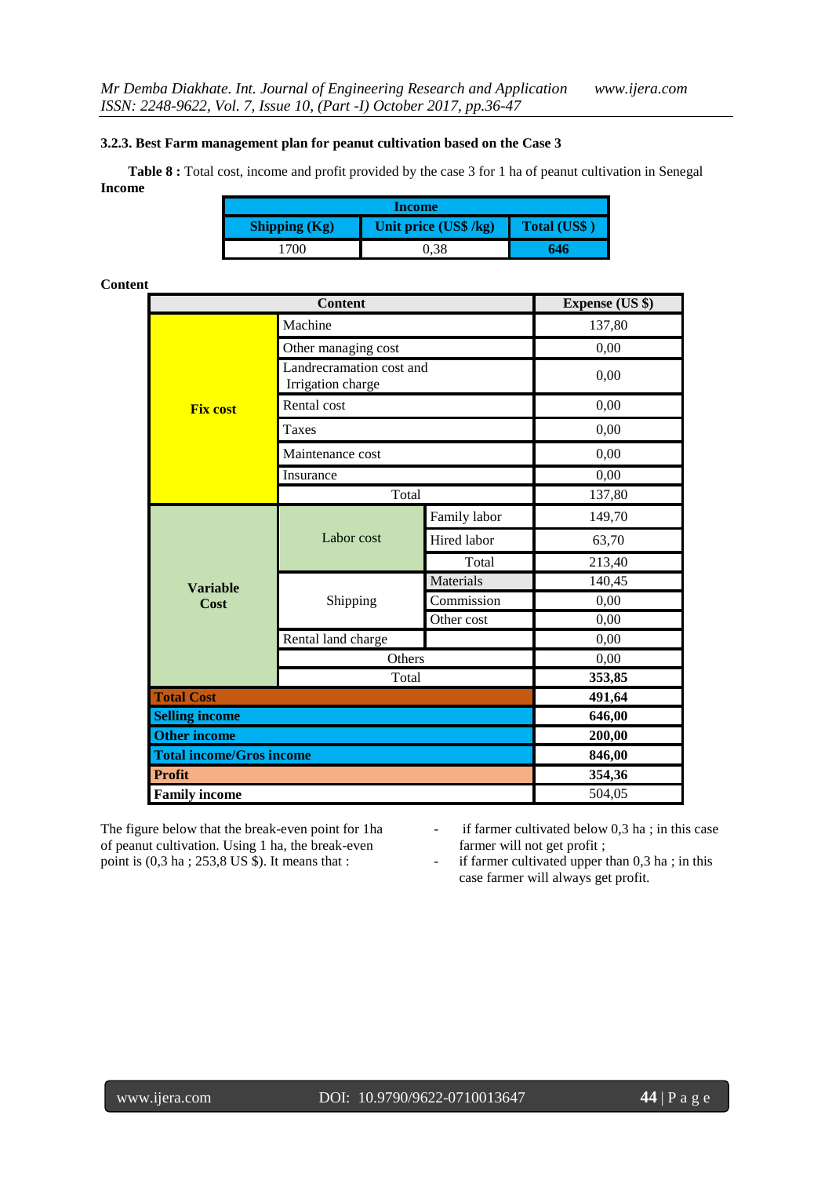### **3.2.3. Best Farm management plan for peanut cultivation based on the Case 3**

**Table 8 :** Total cost, income and profit provided by the case 3 for 1 ha of peanut cultivation in Senegal **Income**

| Income                                                               |      |     |  |  |  |
|----------------------------------------------------------------------|------|-----|--|--|--|
| Unit price (US\$ /kg)<br><b>Total (US\$)</b><br><b>Shipping (Kg)</b> |      |     |  |  |  |
| 700                                                                  | ).38 | 646 |  |  |  |

## **Content**

|                       | <b>Expense (US \$)</b>                        |              |        |  |  |  |
|-----------------------|-----------------------------------------------|--------------|--------|--|--|--|
|                       | Machine                                       |              |        |  |  |  |
|                       | Other managing cost                           | 0,00         |        |  |  |  |
|                       | Landrecramation cost and<br>Irrigation charge |              | 0,00   |  |  |  |
| <b>Fix cost</b>       | Rental cost                                   |              | 0,00   |  |  |  |
|                       | <b>Taxes</b>                                  |              | 0,00   |  |  |  |
|                       | Maintenance cost                              |              | 0,00   |  |  |  |
|                       | Insurance                                     |              | 0,00   |  |  |  |
|                       | Total                                         |              | 137,80 |  |  |  |
|                       | Labor cost                                    | Family labor | 149,70 |  |  |  |
|                       |                                               | Hired labor  | 63,70  |  |  |  |
|                       |                                               | Total        | 213,40 |  |  |  |
| <b>Variable</b>       |                                               | Materials    | 140,45 |  |  |  |
| Cost                  | Shipping                                      | Commission   | 0,00   |  |  |  |
|                       |                                               | Other cost   | 0,00   |  |  |  |
|                       | Rental land charge                            |              | 0,00   |  |  |  |
|                       | Others                                        |              | 0,00   |  |  |  |
|                       | Total                                         |              | 353,85 |  |  |  |
| <b>Total Cost</b>     |                                               |              |        |  |  |  |
| <b>Selling income</b> | 646,00                                        |              |        |  |  |  |
| <b>Other income</b>   | 200,00                                        |              |        |  |  |  |
|                       | <b>Total income/Gros income</b>               |              |        |  |  |  |
| <b>Profit</b>         |                                               |              | 354,36 |  |  |  |
| <b>Family income</b>  |                                               |              | 504,05 |  |  |  |

The figure below that the break-even point for 1ha of peanut cultivation. Using 1 ha, the break-even point is (0,3 ha ; 253,8 US \$). It means that :

- if farmer cultivated below 0,3 ha ; in this case farmer will not get profit ;

- if farmer cultivated upper than 0,3 ha ; in this case farmer will always get profit.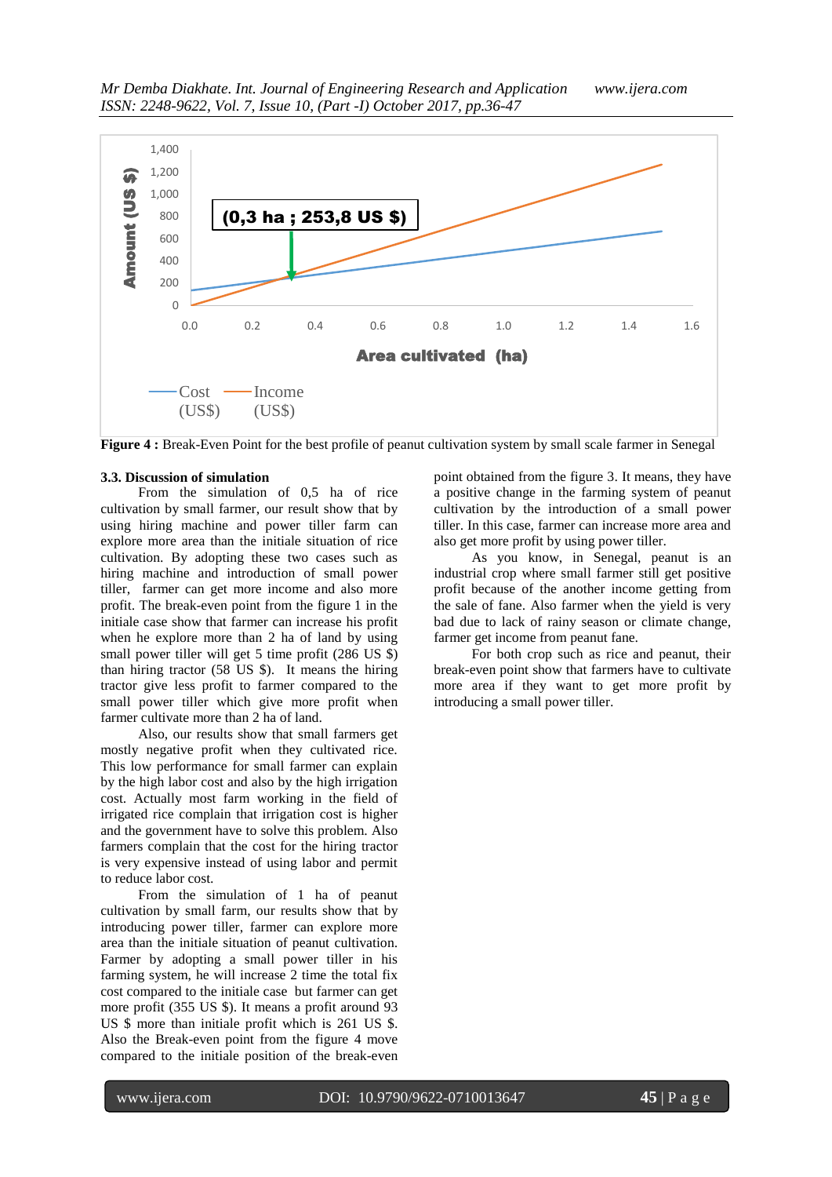

**Figure 4 :** Break-Even Point for the best profile of peanut cultivation system by small scale farmer in Senegal

#### **3.3. Discussion of simulation**

From the simulation of 0,5 ha of rice cultivation by small farmer, our result show that by using hiring machine and power tiller farm can explore more area than the initiale situation of rice cultivation. By adopting these two cases such as hiring machine and introduction of small power tiller, farmer can get more income and also more profit. The break-even point from the figure 1 in the initiale case show that farmer can increase his profit when he explore more than 2 ha of land by using small power tiller will get 5 time profit (286 US \$) than hiring tractor (58 US \$). It means the hiring tractor give less profit to farmer compared to the small power tiller which give more profit when farmer cultivate more than 2 ha of land.

Also, our results show that small farmers get mostly negative profit when they cultivated rice. This low performance for small farmer can explain by the high labor cost and also by the high irrigation cost. Actually most farm working in the field of irrigated rice complain that irrigation cost is higher and the government have to solve this problem. Also farmers complain that the cost for the hiring tractor is very expensive instead of using labor and permit to reduce labor cost.

From the simulation of 1 ha of peanut cultivation by small farm, our results show that by introducing power tiller, farmer can explore more area than the initiale situation of peanut cultivation. Farmer by adopting a small power tiller in his farming system, he will increase 2 time the total fix cost compared to the initiale case but farmer can get more profit (355 US \$). It means a profit around 93 US \$ more than initiale profit which is 261 US \$. Also the Break-even point from the figure 4 move compared to the initiale position of the break-even

point obtained from the figure 3. It means, they have a positive change in the farming system of peanut cultivation by the introduction of a small power tiller. In this case, farmer can increase more area and also get more profit by using power tiller.

As you know, in Senegal, peanut is an industrial crop where small farmer still get positive profit because of the another income getting from the sale of fane. Also farmer when the yield is very bad due to lack of rainy season or climate change, farmer get income from peanut fane.

For both crop such as rice and peanut, their break-even point show that farmers have to cultivate more area if they want to get more profit by introducing a small power tiller.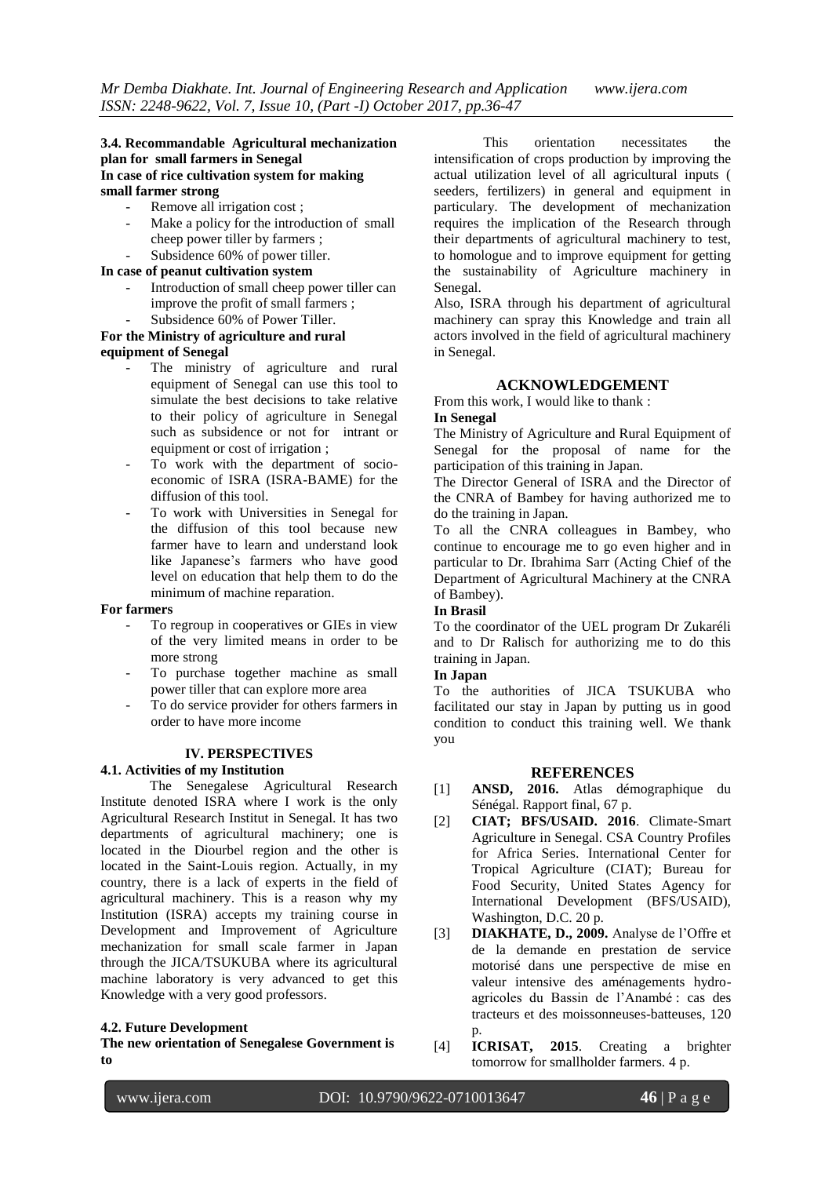## **3.4. Recommandable Agricultural mechanization plan for small farmers in Senegal In case of rice cultivation system for making small farmer strong**

- Remove all irrigation cost;
- Make a policy for the introduction of small cheep power tiller by farmers ;
- Subsidence 60% of power tiller.

## **In case of peanut cultivation system**

- Introduction of small cheep power tiller can improve the profit of small farmers ; Subsidence 60% of Power Tiller.
- 

#### **For the Ministry of agriculture and rural equipment of Senegal**

- The ministry of agriculture and rural equipment of Senegal can use this tool to simulate the best decisions to take relative to their policy of agriculture in Senegal such as subsidence or not for intrant or equipment or cost of irrigation ;
- To work with the department of socioeconomic of ISRA (ISRA-BAME) for the diffusion of this tool.
- To work with Universities in Senegal for the diffusion of this tool because new farmer have to learn and understand look like Japanese"s farmers who have good level on education that help them to do the minimum of machine reparation.

### **For farmers**

- To regroup in cooperatives or GIEs in view of the very limited means in order to be more strong
- To purchase together machine as small power tiller that can explore more area
- To do service provider for others farmers in order to have more income

## **IV. PERSPECTIVES**

### **4.1. Activities of my Institution**

The Senegalese Agricultural Research Institute denoted ISRA where I work is the only Agricultural Research Institut in Senegal. It has two departments of agricultural machinery; one is located in the Diourbel region and the other is located in the Saint-Louis region. Actually, in my country, there is a lack of experts in the field of agricultural machinery. This is a reason why my Institution (ISRA) accepts my training course in Development and Improvement of Agriculture mechanization for small scale farmer in Japan through the JICA/TSUKUBA where its agricultural machine laboratory is very advanced to get this Knowledge with a very good professors.

### **4.2. Future Development**

**The new orientation of Senegalese Government is to**

This orientation necessitates the intensification of crops production by improving the actual utilization level of all agricultural inputs ( seeders, fertilizers) in general and equipment in particulary. The development of mechanization requires the implication of the Research through their departments of agricultural machinery to test, to homologue and to improve equipment for getting the sustainability of Agriculture machinery in Senegal.

Also, ISRA through his department of agricultural machinery can spray this Knowledge and train all actors involved in the field of agricultural machinery in Senegal.

## **ACKNOWLEDGEMENT**

From this work, I would like to thank :

#### **In Senegal**

The Ministry of Agriculture and Rural Equipment of Senegal for the proposal of name for the participation of this training in Japan.

The Director General of ISRA and the Director of the CNRA of Bambey for having authorized me to do the training in Japan.

To all the CNRA colleagues in Bambey, who continue to encourage me to go even higher and in particular to Dr. Ibrahima Sarr (Acting Chief of the Department of Agricultural Machinery at the CNRA of Bambey).

#### **In Brasil**

To the coordinator of the UEL program Dr Zukaréli and to Dr Ralisch for authorizing me to do this training in Japan.

## **In Japan**

To the authorities of JICA TSUKUBA who facilitated our stay in Japan by putting us in good condition to conduct this training well. We thank you

### **REFERENCES**

- [1] **ANSD, 2016.** Atlas démographique du Sénégal. Rapport final, 67 p.
- [2] **CIAT; BFS/USAID. 2016**. Climate-Smart Agriculture in Senegal. CSA Country Profiles for Africa Series. International Center for Tropical Agriculture (CIAT); Bureau for Food Security, United States Agency for International Development (BFS/USAID), Washington, D.C. 20 p.
- [3] **DIAKHATE, D., 2009.** Analyse de l"Offre et de la demande en prestation de service motorisé dans une perspective de mise en valeur intensive des aménagements hydroagricoles du Bassin de l"Anambé : cas des tracteurs et des moissonneuses-batteuses, 120 p.
- [4] **ICRISAT, 2015**. Creating a brighter tomorrow for smallholder farmers. 4 p.